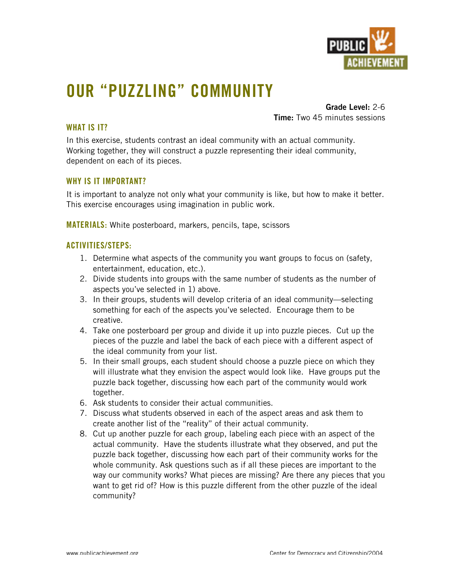

# **OUR "PUZZLING" COMMUNITY**

**Grade Level:** 2-6 **Time:** Two 45 minutes sessions

## **WHAT IS IT?**

In this exercise, students contrast an ideal community with an actual community. Working together, they will construct a puzzle representing their ideal community, dependent on each of its pieces.

### **WHY IS IT IMPORTANT?**

It is important to analyze not only what your community is like, but how to make it better. This exercise encourages using imagination in public work.

**MATERIALS:** White posterboard, markers, pencils, tape, scissors

### **ACTIVITIES/STEPS:**

- 1. Determine what aspects of the community you want groups to focus on (safety, entertainment, education, etc.).
- 2. Divide students into groups with the same number of students as the number of aspects you've selected in 1) above.
- 3. In their groups, students will develop criteria of an ideal community—selecting something for each of the aspects you've selected. Encourage them to be creative.
- 4. Take one posterboard per group and divide it up into puzzle pieces. Cut up the pieces of the puzzle and label the back of each piece with a different aspect of the ideal community from your list.
- 5. In their small groups, each student should choose a puzzle piece on which they will illustrate what they envision the aspect would look like. Have groups put the puzzle back together, discussing how each part of the community would work together.
- 6. Ask students to consider their actual communities.
- 7. Discuss what students observed in each of the aspect areas and ask them to create another list of the "reality" of their actual community.
- 8. Cut up another puzzle for each group, labeling each piece with an aspect of the actual community. Have the students illustrate what they observed, and put the puzzle back together, discussing how each part of their community works for the whole community. Ask questions such as if all these pieces are important to the way our community works? What pieces are missing? Are there any pieces that you want to get rid of? How is this puzzle different from the other puzzle of the ideal community?